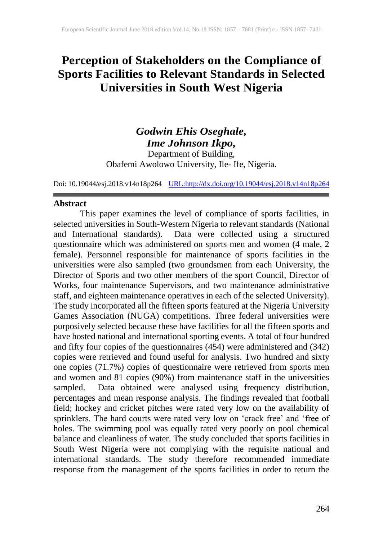# **Perception of Stakeholders on the Compliance of Sports Facilities to Relevant Standards in Selected Universities in South West Nigeria**

# *Godwin Ehis Oseghale, Ime Johnson Ikpo,* Department of Building, Obafemi Awolowo University, Ile- Ife, Nigeria.

Doi: 10.19044/esj.2018.v14n18p264 [URL:http://dx.doi.org/10.19044/esj.2018.v14n18p264](http://dx.doi.org/10.19044/esj.2018.v14n18p264)

### **Abstract**

This paper examines the level of compliance of sports facilities, in selected universities in South-Western Nigeria to relevant standards (National and International standards). Data were collected using a structured questionnaire which was administered on sports men and women (4 male, 2) female). Personnel responsible for maintenance of sports facilities in the universities were also sampled (two groundsmen from each University, the Director of Sports and two other members of the sport Council, Director of Works, four maintenance Supervisors, and two maintenance administrative staff, and eighteen maintenance operatives in each of the selected University). The study incorporated all the fifteen sports featured at the Nigeria University Games Association (NUGA) competitions. Three federal universities were purposively selected because these have facilities for all the fifteen sports and have hosted national and international sporting events. A total of four hundred and fifty four copies of the questionnaires (454) were administered and (342) copies were retrieved and found useful for analysis. Two hundred and sixty one copies (71.7%) copies of questionnaire were retrieved from sports men and women and 81 copies (90%) from maintenance staff in the universities sampled. Data obtained were analysed using frequency distribution, percentages and mean response analysis. The findings revealed that football field; hockey and cricket pitches were rated very low on the availability of sprinklers. The hard courts were rated very low on 'crack free' and 'free of holes. The swimming pool was equally rated very poorly on pool chemical balance and cleanliness of water. The study concluded that sports facilities in South West Nigeria were not complying with the requisite national and international standards. The study therefore recommended immediate response from the management of the sports facilities in order to return the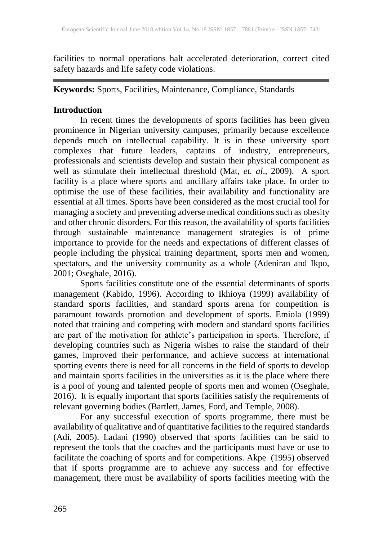facilities to normal operations halt accelerated deterioration, correct cited safety hazards and life safety code violations.

**Keywords:** Sports, Facilities, Maintenance, Compliance, Standards

# **Introduction**

In recent times the developments of sports facilities has been given prominence in Nigerian university campuses, primarily because excellence depends much on intellectual capability. It is in these university sport complexes that future leaders, captains of industry, entrepreneurs, professionals and scientists develop and sustain their physical component as well as stimulate their intellectual threshold (Mat, *et. al*., 2009). A sport facility is a place where sports and ancillary affairs take place. In order to optimise the use of these facilities, their availability and functionality are essential at all times. Sports have been considered as the most crucial tool for managing a society and preventing adverse medical conditions such as obesity and other chronic disorders. For this reason, the availability of sports facilities through sustainable maintenance management strategies is of prime importance to provide for the needs and expectations of different classes of people including the physical training department, sports men and women, spectators, and the university community as a whole (Adeniran and Ikpo, 2001; Oseghale, 2016).

Sports facilities constitute one of the essential determinants of sports management (Kabido, 1996). According to Ikhioya (1999) availability of standard sports facilities, and standard sports arena for competition is paramount towards promotion and development of sports. Emiola (1999) noted that training and competing with modern and standard sports facilities are part of the motivation for athlete's participation in sports. Therefore, if developing countries such as Nigeria wishes to raise the standard of their games, improved their performance, and achieve success at international sporting events there is need for all concerns in the field of sports to develop and maintain sports facilities in the universities as it is the place where there is a pool of young and talented people of sports men and women (Oseghale, 2016). It is equally important that sports facilities satisfy the requirements of relevant governing bodies (Bartlett, James, Ford, and Temple, 2008).

For any successful execution of sports programme, there must be availability of qualitative and of quantitative facilities to the required standards (Adi, 2005). Ladani (1990) observed that sports facilities can be said to represent the tools that the coaches and the participants must have or use to facilitate the coaching of sports and for competitions. Akpe (1995) observed that if sports programme are to achieve any success and for effective management, there must be availability of sports facilities meeting with the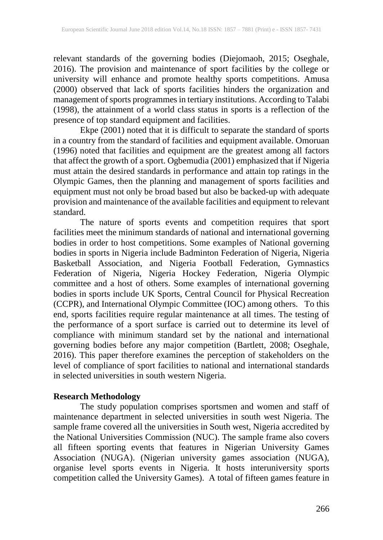relevant standards of the governing bodies (Diejomaoh, 2015; Oseghale, 2016). The provision and maintenance of sport facilities by the college or university will enhance and promote healthy sports competitions. Amusa (2000) observed that lack of sports facilities hinders the organization and management of sports programmes in tertiary institutions. According to Talabi (1998), the attainment of a world class status in sports is a reflection of the presence of top standard equipment and facilities.

Ekpe (2001) noted that it is difficult to separate the standard of sports in a country from the standard of facilities and equipment available. Omoruan (1996) noted that facilities and equipment are the greatest among all factors that affect the growth of a sport. Ogbemudia (2001) emphasized that if Nigeria must attain the desired standards in performance and attain top ratings in the Olympic Games, then the planning and management of sports facilities and equipment must not only be broad based but also be backed-up with adequate provision and maintenance of the available facilities and equipment to relevant standard.

The nature of sports events and competition requires that sport facilities meet the minimum standards of national and international governing bodies in order to host competitions. Some examples of National governing bodies in sports in Nigeria include Badminton Federation of Nigeria, Nigeria Basketball Association, and Nigeria Football Federation, Gymnastics Federation of Nigeria, Nigeria Hockey Federation, Nigeria Olympic committee and a host of others. Some examples of international governing bodies in sports include UK Sports, Central Council for Physical Recreation (CCPR), and International Olympic Committee (IOC) among others. To this end, sports facilities require regular maintenance at all times. The testing of the performance of a sport surface is carried out to determine its level of compliance with minimum standard set by the national and international governing bodies before any major competition (Bartlett, 2008; Oseghale, 2016). This paper therefore examines the perception of stakeholders on the level of compliance of sport facilities to national and international standards in selected universities in south western Nigeria.

### **Research Methodology**

The study population comprises sportsmen and women and staff of maintenance department in selected universities in south west Nigeria. The sample frame covered all the universities in South west, Nigeria accredited by the National Universities Commission (NUC). The sample frame also covers all fifteen sporting events that features in Nigerian University Games Association (NUGA). (Nigerian university games association (NUGA), organise level sports events in Nigeria. It hosts interuniversity sports competition called the University Games). A total of fifteen games feature in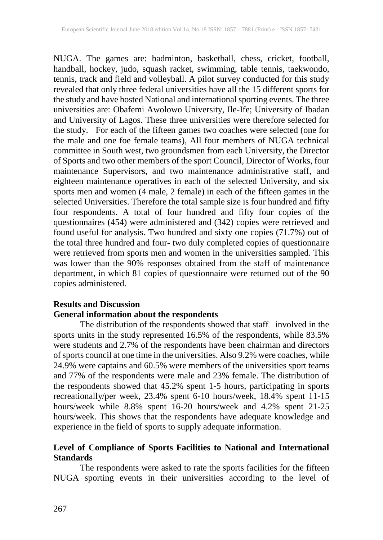NUGA. The games are: badminton, basketball, chess, cricket, football, handball, hockey, judo, squash racket, swimming, table tennis, taekwondo, tennis, track and field and volleyball. A pilot survey conducted for this study revealed that only three federal universities have all the 15 different sports for the study and have hosted National and international sporting events. The three universities are: Obafemi Awolowo University, Ile-Ife; University of Ibadan and University of Lagos. These three universities were therefore selected for the study. For each of the fifteen games two coaches were selected (one for the male and one foe female teams), All four members of NUGA technical committee in South west, two groundsmen from each University, the Director of Sports and two other members of the sport Council, Director of Works, four maintenance Supervisors, and two maintenance administrative staff, and eighteen maintenance operatives in each of the selected University, and six sports men and women (4 male, 2 female) in each of the fifteen games in the selected Universities. Therefore the total sample size is four hundred and fifty four respondents. A total of four hundred and fifty four copies of the questionnaires (454) were administered and (342) copies were retrieved and found useful for analysis. Two hundred and sixty one copies (71.7%) out of the total three hundred and four- two duly completed copies of questionnaire were retrieved from sports men and women in the universities sampled. This was lower than the 90% responses obtained from the staff of maintenance department, in which 81 copies of questionnaire were returned out of the 90 copies administered.

## **Results and Discussion General information about the respondents**

The distribution of the respondents showed that staff involved in the sports units in the study represented 16.5% of the respondents, while 83.5% were students and 2.7% of the respondents have been chairman and directors of sports council at one time in the universities. Also 9.2% were coaches, while 24.9% were captains and 60.5% were members of the universities sport teams and 77% of the respondents were male and 23% female. The distribution of the respondents showed that 45.2% spent 1-5 hours, participating in sports recreationally/per week, 23.4% spent 6-10 hours/week, 18.4% spent 11-15 hours/week while 8.8% spent 16-20 hours/week and 4.2% spent 21-25 hours/week. This shows that the respondents have adequate knowledge and experience in the field of sports to supply adequate information.

# **Level of Compliance of Sports Facilities to National and International Standards**

The respondents were asked to rate the sports facilities for the fifteen NUGA sporting events in their universities according to the level of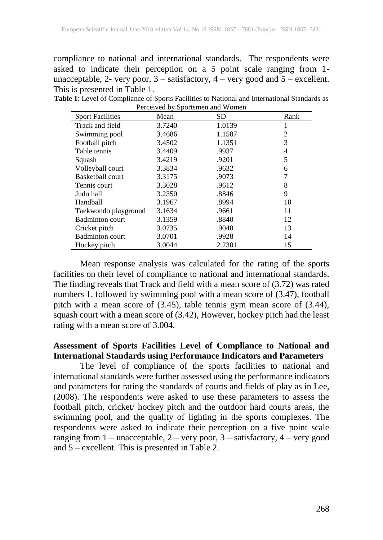compliance to national and international standards. The respondents were asked to indicate their perception on a 5 point scale ranging from 1 unacceptable, 2- very poor, 3 – satisfactory, 4 – very good and 5 – excellent. This is presented in Table 1.

| $\frac{1}{2}$ exective by sportsment and $\frac{1}{2}$ since $\frac{1}{2}$ |        |           |                |  |  |  |  |
|----------------------------------------------------------------------------|--------|-----------|----------------|--|--|--|--|
| <b>Sport Facilities</b>                                                    | Mean   | <b>SD</b> | Rank           |  |  |  |  |
| Track and field                                                            | 3.7240 | 1.0139    |                |  |  |  |  |
| Swimming pool                                                              | 3.4686 | 1.1587    | $\overline{2}$ |  |  |  |  |
| Football pitch                                                             | 3.4502 | 1.1351    | 3              |  |  |  |  |
| Table tennis                                                               | 3.4409 | .9937     | 4              |  |  |  |  |
| Squash                                                                     | 3.4219 | .9201     | 5              |  |  |  |  |
| Volleyball court                                                           | 3.3834 | .9632     | 6              |  |  |  |  |
| <b>Basketball court</b>                                                    | 3.3175 | .9073     | 7              |  |  |  |  |
| Tennis court                                                               | 3.3028 | .9612     | 8              |  |  |  |  |
| Judo hall                                                                  | 3.2350 | .8846     | 9              |  |  |  |  |
| Handball                                                                   | 3.1967 | .8994     | 10             |  |  |  |  |
| Taekwondo playground                                                       | 3.1634 | .9661     | 11             |  |  |  |  |
| <b>Badminton</b> court                                                     | 3.1359 | .8840     | 12             |  |  |  |  |
| Cricket pitch                                                              | 3.0735 | .9040     | 13             |  |  |  |  |
| <b>Badminton</b> court                                                     | 3.0701 | .9928     | 14             |  |  |  |  |
| Hockey pitch                                                               | 3.0044 | 2.2301    | 15             |  |  |  |  |

**Table 1**: Level of Compliance of Sports Facilities to National and International Standards as Perceived by Sportsmen and Women

Mean response analysis was calculated for the rating of the sports facilities on their level of compliance to national and international standards. The finding reveals that Track and field with a mean score of (3.72) was rated numbers 1, followed by swimming pool with a mean score of (3.47), football pitch with a mean score of (3.45), table tennis gym mean score of (3.44), squash court with a mean score of (3.42), However, hockey pitch had the least rating with a mean score of 3.004.

# **Assessment of Sports Facilities Level of Compliance to National and International Standards using Performance Indicators and Parameters**

The level of compliance of the sports facilities to national and international standards were further assessed using the performance indicators and parameters for rating the standards of courts and fields of play as in Lee, (2008). The respondents were asked to use these parameters to assess the football pitch, cricket/ hockey pitch and the outdoor hard courts areas, the swimming pool, and the quality of lighting in the sports complexes. The respondents were asked to indicate their perception on a five point scale ranging from 1 – unacceptable, 2 – very poor, 3 – satisfactory, 4 – very good and  $5 -$  excellent. This is presented in Table 2.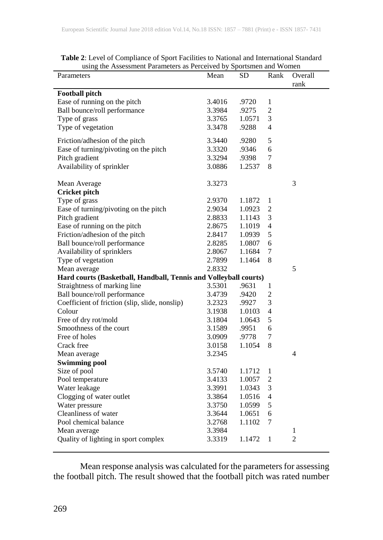| using the Assessment Parameters as Perceived by Sportsmen and Women |        |           |                  |                |  |  |
|---------------------------------------------------------------------|--------|-----------|------------------|----------------|--|--|
| Parameters                                                          | Mean   | <b>SD</b> | Rank             | Overall        |  |  |
|                                                                     |        |           |                  | rank           |  |  |
| <b>Football pitch</b>                                               |        |           |                  |                |  |  |
| Ease of running on the pitch                                        | 3.4016 | .9720     | 1                |                |  |  |
| Ball bounce/roll performance                                        | 3.3984 | .9275     | 2                |                |  |  |
| Type of grass                                                       | 3.3765 | 1.0571    | 3                |                |  |  |
| Type of vegetation                                                  | 3.3478 | .9288     | 4                |                |  |  |
|                                                                     |        |           | 5                |                |  |  |
| Friction/adhesion of the pitch                                      | 3.3440 | .9280     |                  |                |  |  |
| Ease of turning/pivoting on the pitch                               | 3.3320 | .9346     | 6                |                |  |  |
| Pitch gradient                                                      | 3.3294 | .9398     | $\boldsymbol{7}$ |                |  |  |
| Availability of sprinkler                                           | 3.0886 | 1.2537    | 8                |                |  |  |
| Mean Average                                                        | 3.3273 |           |                  | 3              |  |  |
| <b>Cricket pitch</b>                                                |        |           |                  |                |  |  |
| Type of grass                                                       | 2.9370 | 1.1872    | $\mathbf{1}$     |                |  |  |
| Ease of turning/pivoting on the pitch                               | 2.9034 | 1.0923    | $\overline{2}$   |                |  |  |
| Pitch gradient                                                      | 2.8833 | 1.1143    | 3                |                |  |  |
| Ease of running on the pitch                                        | 2.8675 | 1.1019    | 4                |                |  |  |
| Friction/adhesion of the pitch                                      | 2.8417 | 1.0939    | 5                |                |  |  |
| Ball bounce/roll performance                                        | 2.8285 | 1.0807    | 6                |                |  |  |
| Availability of sprinklers                                          | 2.8067 | 1.1684    | 7                |                |  |  |
| Type of vegetation                                                  | 2.7899 | 1.1464    | 8                |                |  |  |
| Mean average                                                        | 2.8332 |           |                  | 5              |  |  |
| Hard courts (Basketball, Handball, Tennis and Volleyball courts)    |        |           |                  |                |  |  |
| Straightness of marking line                                        | 3.5301 | .9631     | 1                |                |  |  |
| Ball bounce/roll performance                                        | 3.4739 | .9420     | $\overline{c}$   |                |  |  |
| Coefficient of friction (slip, slide, nonslip)                      | 3.2323 | .9927     | 3                |                |  |  |
| Colour                                                              | 3.1938 |           | 4                |                |  |  |
|                                                                     |        | 1.0103    | 5                |                |  |  |
| Free of dry rot/mold<br>Smoothness of the court                     | 3.1804 | 1.0643    | 6                |                |  |  |
|                                                                     | 3.1589 | .9951     |                  |                |  |  |
| Free of holes                                                       | 3.0909 | .9778     | 7                |                |  |  |
| Crack free                                                          | 3.0158 | 1.1054    | 8                |                |  |  |
| Mean average                                                        | 3.2345 |           |                  | 4              |  |  |
| <b>Swimming pool</b>                                                |        |           |                  |                |  |  |
| Size of pool                                                        | 3.5740 | 1.1712    | 1                |                |  |  |
| Pool temperature                                                    | 3.4133 | 1.0057    | $\overline{2}$   |                |  |  |
| Water leakage                                                       | 3.3991 | 1.0343    | 3                |                |  |  |
| Clogging of water outlet                                            | 3.3864 | 1.0516    | 4                |                |  |  |
| Water pressure                                                      | 3.3750 | 1.0599    | 5                |                |  |  |
| Cleanliness of water                                                | 3.3644 | 1.0651    | 6                |                |  |  |
| Pool chemical balance                                               | 3.2768 | 1.1102    | 7                |                |  |  |
| Mean average                                                        | 3.3984 |           |                  | 1              |  |  |
| Quality of lighting in sport complex                                | 3.3319 | 1.1472    | 1                | $\overline{2}$ |  |  |

**Table 2**: Level of Compliance of Sport Facilities to National and International Standard

Mean response analysis was calculated for the parameters for assessing the football pitch. The result showed that the football pitch was rated number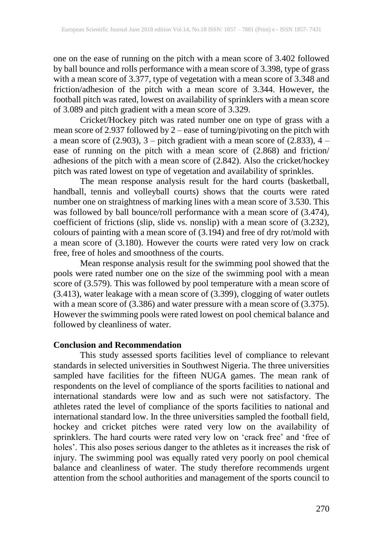one on the ease of running on the pitch with a mean score of 3.402 followed by ball bounce and rolls performance with a mean score of 3.398, type of grass with a mean score of 3.377, type of vegetation with a mean score of 3.348 and friction/adhesion of the pitch with a mean score of 3.344. However, the football pitch was rated, lowest on availability of sprinklers with a mean score of 3.089 and pitch gradient with a mean score of 3.329.

Cricket/Hockey pitch was rated number one on type of grass with a mean score of 2.937 followed by 2 – ease of turning/pivoting on the pitch with a mean score of  $(2.903)$ ,  $3$  – pitch gradient with a mean score of  $(2.833)$ ,  $4$  – ease of running on the pitch with a mean score of (2.868) and friction/ adhesions of the pitch with a mean score of (2.842). Also the cricket/hockey pitch was rated lowest on type of vegetation and availability of sprinkles.

The mean response analysis result for the hard courts (basketball, handball, tennis and volleyball courts) shows that the courts were rated number one on straightness of marking lines with a mean score of 3.530. This was followed by ball bounce/roll performance with a mean score of (3.474), coefficient of frictions (slip, slide vs. nonslip) with a mean score of (3.232), colours of painting with a mean score of (3.194) and free of dry rot/mold with a mean score of (3.180). However the courts were rated very low on crack free, free of holes and smoothness of the courts.

Mean response analysis result for the swimming pool showed that the pools were rated number one on the size of the swimming pool with a mean score of (3.579). This was followed by pool temperature with a mean score of (3.413), water leakage with a mean score of (3.399), clogging of water outlets with a mean score of (3.386) and water pressure with a mean score of (3.375). However the swimming pools were rated lowest on pool chemical balance and followed by cleanliness of water.

#### **Conclusion and Recommendation**

This study assessed sports facilities level of compliance to relevant standards in selected universities in Southwest Nigeria. The three universities sampled have facilities for the fifteen NUGA games. The mean rank of respondents on the level of compliance of the sports facilities to national and international standards were low and as such were not satisfactory. The athletes rated the level of compliance of the sports facilities to national and international standard low. In the three universities sampled the football field, hockey and cricket pitches were rated very low on the availability of sprinklers. The hard courts were rated very low on 'crack free' and 'free of holes'. This also poses serious danger to the athletes as it increases the risk of injury. The swimming pool was equally rated very poorly on pool chemical balance and cleanliness of water. The study therefore recommends urgent attention from the school authorities and management of the sports council to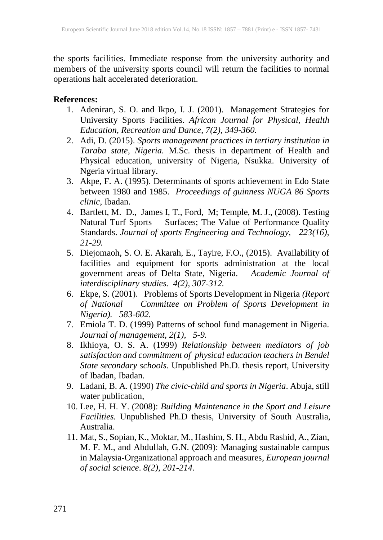the sports facilities. Immediate response from the university authority and members of the university sports council will return the facilities to normal operations halt accelerated deterioration.

## **References:**

- 1. Adeniran, S. O. and Ikpo, I. J. (2001). Management Strategies for University Sports Facilities. *African Journal for Physical, Health Education, Recreation and Dance, 7(2), 349-360.*
- 2. Adi, D. (2015). *Sports management practices in tertiary institution in Taraba state, Nigeria.* M.Sc. thesis in department of Health and Physical education, university of Nigeria, Nsukka. University of Ngeria virtual library.
- 3. Akpe, F. A. (1995). Determinants of sports achievement in Edo State between 1980 and 1985. *Proceedings of guinness NUGA 86 Sports clinic*, Ibadan.
- 4. Bartlett, M. D., James I, T., Ford, M; Temple, M. J., (2008). Testing Natural Turf Sports Surfaces; The Value of Performance Quality Standards. *Journal of sports Engineering and Technology, 223(16), 21-29.*
- 5. Diejomaoh, S. O. E. Akarah, E., Tayire, F.O., (2015). Availability of facilities and equipment for sports administration at the local government areas of Delta State, Nigeria. *Academic Journal of interdisciplinary studies. 4(2), 307-312.*
- 6. Ekpe, S. (2001). Problems of Sports Development in Nigeria *(Report of National Committee on Problem of Sports Development in Nigeria). 583-602.*
- 7. Emiola T. D. (1999) Patterns of school fund management in Nigeria. *Journal of management, 2(1), 5-9.*
- 8. Ikhioya, O. S. A. (1999) *Relationship between mediators of job satisfaction and commitment of physical education teachers in Bendel State secondary schools*. Unpublished Ph.D. thesis report, University of Ibadan, Ibadan.
- 9. Ladani, B. A. (1990) *The civic-child and sports in Nigeria*. Abuja, still water publication,
- 10. Lee, H. H. Y. (2008): *Building Maintenance in the Sport and Leisure Facilities.* Unpublished Ph.D thesis, University of South Australia, Australia.
- 11. Mat, S., Sopian, K., Moktar, M., Hashim, S. H., Abdu Rashid, A., Zian, M. F. M., and Abdullah, G.N. (2009): Managing sustainable campus in Malaysia-Organizational approach and measures, *European journal of social science*. *8(2), 201-214.*